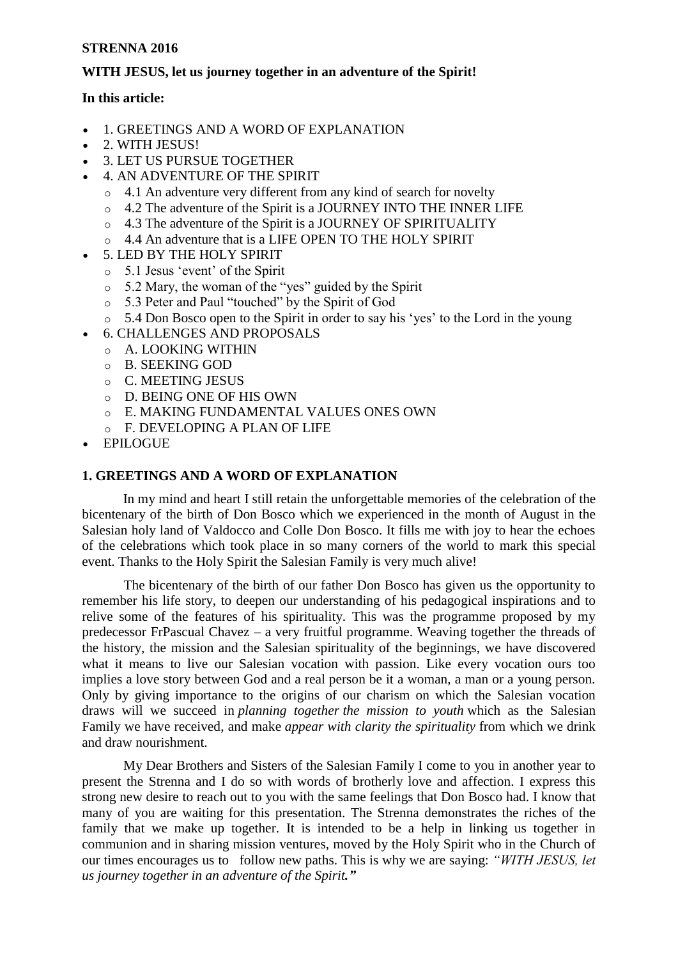# **STRENNA 2016**

# **WITH JESUS, let us journey together in an adventure of the Spirit!**

# **In this article:**

- [1. GREETINGS AND A WORD OF EXPLANATION](http://www.sdb.org/en/rector-major/1058-strenna-rm-projects/3083-strenna-2016-commentary#strenna_2016_1)
- [2. WITH JESUS!](http://www.sdb.org/en/rector-major/1058-strenna-rm-projects/3083-strenna-2016-commentary#strenna_2016_2)
- [3. LET US PURSUE TOGETHER](http://www.sdb.org/en/rector-major/1058-strenna-rm-projects/3083-strenna-2016-commentary#strenna_2016_3)
- [4. AN ADVENTURE OF THE SPIRIT](http://www.sdb.org/en/rector-major/1058-strenna-rm-projects/3083-strenna-2016-commentary#strenna_2016_4)
	- o [4.1 An adventure very different from any kind of search for novelty](http://www.sdb.org/en/rector-major/1058-strenna-rm-projects/3083-strenna-2016-commentary#strenna_2016_4.1)
	- o [4.2 The adventure of the Spirit is a JOURNEY INTO THE INNER LIFE](http://www.sdb.org/en/rector-major/1058-strenna-rm-projects/3083-strenna-2016-commentary#strenna_2016_4.2)
	- o [4.3 The adventure of the Spirit is a JOURNEY OF SPIRITUALITY](http://www.sdb.org/en/rector-major/1058-strenna-rm-projects/3083-strenna-2016-commentary#strenna_2016_4.3)
	- o [4.4 An adventure that is a LIFE OPEN TO THE HOLY SPIRIT](http://www.sdb.org/en/rector-major/1058-strenna-rm-projects/3083-strenna-2016-commentary#strenna_2016_4.4)
- [5. LED BY THE HOLY SPIRIT](http://www.sdb.org/en/rector-major/1058-strenna-rm-projects/3083-strenna-2016-commentary#strenna_2016_5)
	- $\circ$  5.1 Jesus 'event' of the Spirit
	- o [5.2 Mary, the woman of the "yes" guided by the Spirit](http://www.sdb.org/en/rector-major/1058-strenna-rm-projects/3083-strenna-2016-commentary#strenna_2016_5.2)
	- o [5.3 Peter and Paul "touched" by the Spirit of God](http://www.sdb.org/en/rector-major/1058-strenna-rm-projects/3083-strenna-2016-commentary#strenna_2016_5.3)
	- o [5.4 Don Bosco open to the Spirit in order to say his "yes" to the Lord in the young](http://www.sdb.org/en/rector-major/1058-strenna-rm-projects/3083-strenna-2016-commentary#strenna_2016_5.4)
	- [6. CHALLENGES AND PROPOSALS](http://www.sdb.org/en/rector-major/1058-strenna-rm-projects/3083-strenna-2016-commentary#strenna_2016_6)
	- o [A. LOOKING WITHIN](http://www.sdb.org/en/rector-major/1058-strenna-rm-projects/3083-strenna-2016-commentary#strenna_2016_6.1)
	- o [B. SEEKING GOD](http://www.sdb.org/en/rector-major/1058-strenna-rm-projects/3083-strenna-2016-commentary#strenna_2016_6.2)
	- o [C. MEETING JESUS](http://www.sdb.org/en/rector-major/1058-strenna-rm-projects/3083-strenna-2016-commentary#strenna_2016_6.3)
	- o [D. BEING ONE OF HIS OWN](http://www.sdb.org/en/rector-major/1058-strenna-rm-projects/3083-strenna-2016-commentary#strenna_2016_6.4)
	- o [E. MAKING FUNDAMENTAL VALUES ONES OWN](http://www.sdb.org/en/rector-major/1058-strenna-rm-projects/3083-strenna-2016-commentary#strenna_2016_6.5)
	- o [F. DEVELOPING A PLAN OF LIFE](http://www.sdb.org/en/rector-major/1058-strenna-rm-projects/3083-strenna-2016-commentary#strenna_2016_6.6)
- [EPILOGUE](http://www.sdb.org/en/rector-major/1058-strenna-rm-projects/3083-strenna-2016-commentary#strenna_2016_7)

# **[1. GREETINGS AND A WORD OF EXPLANATION](http://www.sdb.org/en/rector-major/1058-strenna-rm-projects/3083-strenna-2016-commentary#strenna_2016_00)**

 In my mind and heart I still retain the unforgettable memories of the celebration of the bicentenary of the birth of Don Bosco which we experienced in the month of August in the Salesian holy land of Valdocco and Colle Don Bosco. It fills me with joy to hear the echoes of the celebrations which took place in so many corners of the world to mark this special event. Thanks to the Holy Spirit the Salesian Family is very much alive!

 The bicentenary of the birth of our father Don Bosco has given us the opportunity to remember his life story, to deepen our understanding of his pedagogical inspirations and to relive some of the features of his spirituality. This was the programme proposed by my predecessor FrPascual Chavez – a very fruitful programme. Weaving together the threads of the history, the mission and the Salesian spirituality of the beginnings, we have discovered what it means to live our Salesian vocation with passion. Like every vocation ours too implies a love story between God and a real person be it a woman, a man or a young person. Only by giving importance to the origins of our charism on which the Salesian vocation draws will we succeed in *planning together the mission to youth* which as the Salesian Family we have received, and make *appear with clarity the spirituality* from which we drink and draw nourishment.

 My Dear Brothers and Sisters of the Salesian Family I come to you in another year to present the Strenna and I do so with words of brotherly love and affection. I express this strong new desire to reach out to you with the same feelings that Don Bosco had. I know that many of you are waiting for this presentation. The Strenna demonstrates the riches of the family that we make up together. It is intended to be a help in linking us together in communion and in sharing mission ventures, moved by the Holy Spirit who in the Church of our times encourages us to follow new paths. This is why we are saying: *"WITH JESUS, let us journey together in an adventure of the Spirit."*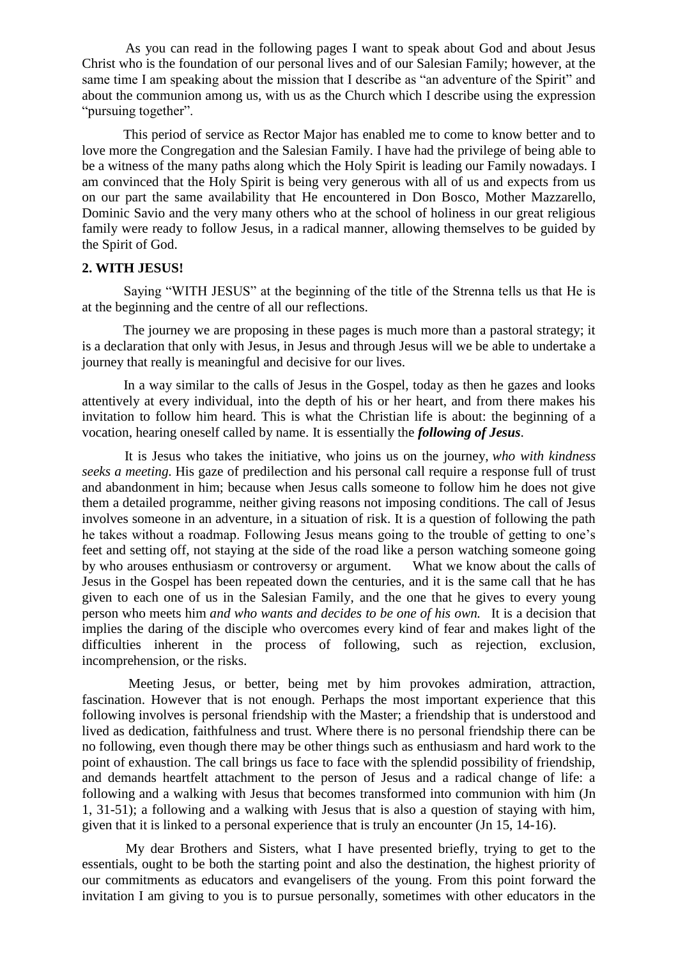As you can read in the following pages I want to speak about God and about Jesus Christ who is the foundation of our personal lives and of our Salesian Family; however, at the same time I am speaking about the mission that I describe as "an adventure of the Spirit" and about the communion among us, with us as the Church which I describe using the expression "pursuing together".

 This period of service as Rector Major has enabled me to come to know better and to love more the Congregation and the Salesian Family. I have had the privilege of being able to be a witness of the many paths along which the Holy Spirit is leading our Family nowadays. I am convinced that the Holy Spirit is being very generous with all of us and expects from us on our part the same availability that He encountered in Don Bosco, Mother Mazzarello, Dominic Savio and the very many others who at the school of holiness in our great religious family were ready to follow Jesus, in a radical manner, allowing themselves to be guided by the Spirit of God.

# **[2. WITH JESUS!](http://www.sdb.org/en/rector-major/1058-strenna-rm-projects/3083-strenna-2016-commentary#strenna_2016_00)**

 Saying "WITH JESUS" at the beginning of the title of the Strenna tells us that He is at the beginning and the centre of all our reflections.

 The journey we are proposing in these pages is much more than a pastoral strategy; it is a declaration that only with Jesus, in Jesus and through Jesus will we be able to undertake a journey that really is meaningful and decisive for our lives.

 In a way similar to the calls of Jesus in the Gospel, today as then he gazes and looks attentively at every individual, into the depth of his or her heart, and from there makes his invitation to follow him heard. This is what the Christian life is about: the beginning of a vocation, hearing oneself called by name. It is essentially the *following of Jesus*.

 It is Jesus who takes the initiative, who joins us on the journey, *who with kindness seeks a meeting.* His gaze of predilection and his personal call require a response full of trust and abandonment in him; because when Jesus calls someone to follow him he does not give them a detailed programme, neither giving reasons not imposing conditions. The call of Jesus involves someone in an adventure, in a situation of risk. It is a question of following the path he takes without a roadmap. Following Jesus means going to the trouble of getting to one"s feet and setting off, not staying at the side of the road like a person watching someone going by who arouses enthusiasm or controversy or argument. What we know about the calls of Jesus in the Gospel has been repeated down the centuries, and it is the same call that he has given to each one of us in the Salesian Family, and the one that he gives to every young person who meets him *and who wants and decides to be one of his own.* It is a decision that implies the daring of the disciple who overcomes every kind of fear and makes light of the difficulties inherent in the process of following, such as rejection, exclusion, incomprehension, or the risks.

 Meeting Jesus, or better, being met by him provokes admiration, attraction, fascination. However that is not enough. Perhaps the most important experience that this following involves is personal friendship with the Master; a friendship that is understood and lived as dedication, faithfulness and trust. Where there is no personal friendship there can be no following, even though there may be other things such as enthusiasm and hard work to the point of exhaustion. The call brings us face to face with the splendid possibility of friendship, and demands heartfelt attachment to the person of Jesus and a radical change of life: a following and a walking with Jesus that becomes transformed into communion with him (Jn 1, 31-51); a following and a walking with Jesus that is also a question of staying with him, given that it is linked to a personal experience that is truly an encounter (Jn 15, 14-16).

 My dear Brothers and Sisters, what I have presented briefly, trying to get to the essentials, ought to be both the starting point and also the destination, the highest priority of our commitments as educators and evangelisers of the young. From this point forward the invitation I am giving to you is to pursue personally, sometimes with other educators in the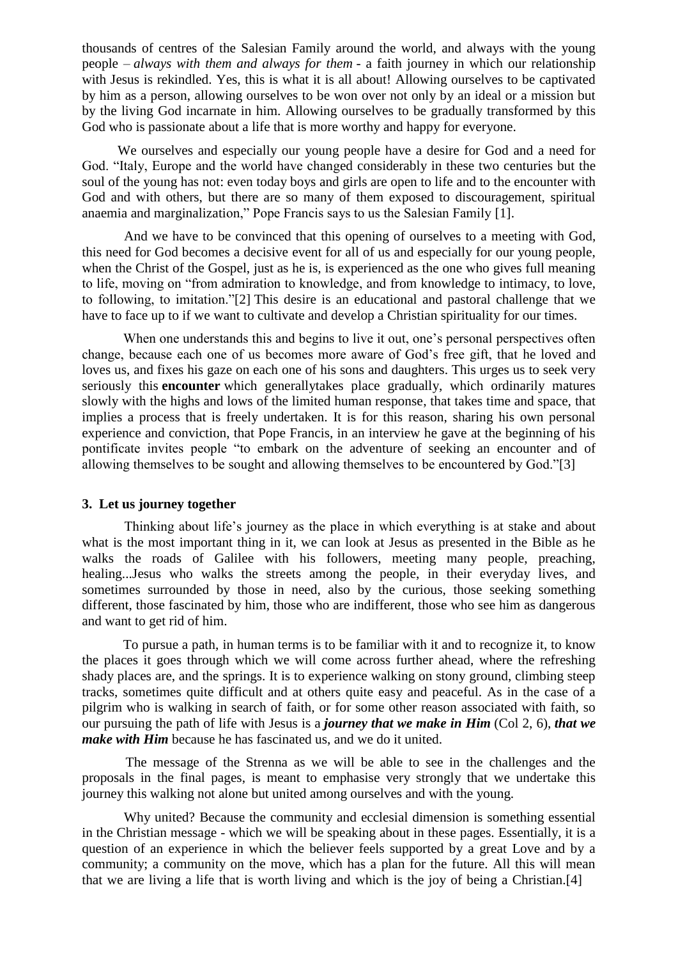thousands of centres of the Salesian Family around the world, and always with the young people – *always with them and always for them* - a faith journey in which our relationship with Jesus is rekindled. Yes, this is what it is all about! Allowing ourselves to be captivated by him as a person, allowing ourselves to be won over not only by an ideal or a mission but by the living God incarnate in him. Allowing ourselves to be gradually transformed by this God who is passionate about a life that is more worthy and happy for everyone.

 We ourselves and especially our young people have a desire for God and a need for God. "Italy, Europe and the world have changed considerably in these two centuries but the soul of the young has not: even today boys and girls are open to life and to the encounter with God and with others, but there are so many of them exposed to discouragement, spiritual anaemia and marginalization," Pope Francis says to us the Salesian Family [\[1\].](http://www.sdb.org/en/rector-major/1058-strenna-rm-projects/3083-strenna-2016-commentary#ftn1)

 And we have to be convinced that this opening of ourselves to a meeting with God, this need for God becomes a decisive event for all of us and especially for our young people, when the Christ of the Gospel, just as he is, is experienced as the one who gives full meaning to life, moving on "from admiration to knowledge, and from knowledge to intimacy, to love, to following, to imitation.["\[2\]](http://www.sdb.org/en/rector-major/1058-strenna-rm-projects/3083-strenna-2016-commentary#ftn2) This desire is an educational and pastoral challenge that we have to face up to if we want to cultivate and develop a Christian spirituality for our times.

When one understands this and begins to live it out, one's personal perspectives often change, because each one of us becomes more aware of God"s free gift, that he loved and loves us, and fixes his gaze on each one of his sons and daughters. This urges us to seek very seriously this **encounter** which generallytakes place gradually, which ordinarily matures slowly with the highs and lows of the limited human response, that takes time and space, that implies a process that is freely undertaken. It is for this reason, sharing his own personal experience and conviction, that Pope Francis, in an interview he gave at the beginning of his pontificate invites people "to embark on the adventure of seeking an encounter and of allowing themselves to be sought and allowing themselves to be encountered by God.["\[3\]](http://www.sdb.org/en/rector-major/1058-strenna-rm-projects/3083-strenna-2016-commentary#ftn3) 

#### **[3.](http://www.sdb.org/en/rector-major/1058-strenna-rm-projects/3083-strenna-2016-commentary#strenna_2016_00) Let us journey together**

 Thinking about life"s journey as the place in which everything is at stake and about what is the most important thing in it, we can look at Jesus as presented in the Bible as he walks the roads of Galilee with his followers, meeting many people, preaching, healing...Jesus who walks the streets among the people, in their everyday lives, and sometimes surrounded by those in need, also by the curious, those seeking something different, those fascinated by him, those who are indifferent, those who see him as dangerous and want to get rid of him.

 To pursue a path, in human terms is to be familiar with it and to recognize it, to know the places it goes through which we will come across further ahead, where the refreshing shady places are, and the springs. It is to experience walking on stony ground, climbing steep tracks, sometimes quite difficult and at others quite easy and peaceful. As in the case of a pilgrim who is walking in search of faith, or for some other reason associated with faith, so our pursuing the path of life with Jesus is a *journey that we make in Him* (Col 2, 6), *that we make with Him* because he has fascinated us, and we do it united.

 The message of the Strenna as we will be able to see in the challenges and the proposals in the final pages, is meant to emphasise very strongly that we undertake this journey this walking not alone but united among ourselves and with the young.

 Why united? Because the community and ecclesial dimension is something essential in the Christian message - which we will be speaking about in these pages. Essentially, it is a question of an experience in which the believer feels supported by a great Love and by a community; a community on the move, which has a plan for the future. All this will mean that we are living a life that is worth living and which is the joy of being a Christian[.\[4\]](http://www.sdb.org/en/rector-major/1058-strenna-rm-projects/3083-strenna-2016-commentary#ftn4)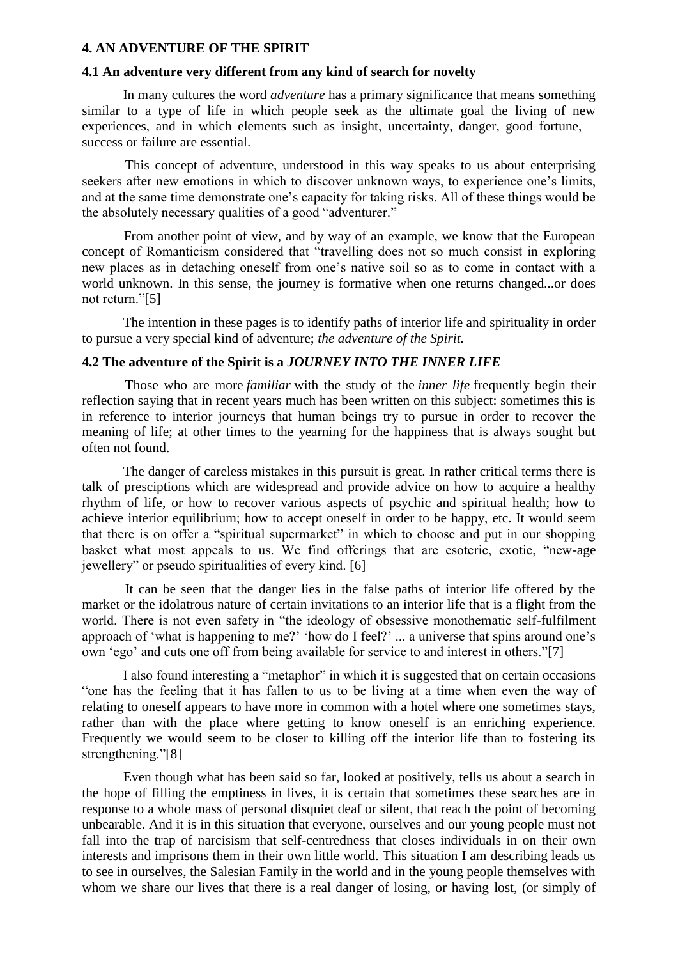#### **[4. AN ADVENTURE OF THE SPIRIT](http://www.sdb.org/en/rector-major/1058-strenna-rm-projects/3083-strenna-2016-commentary#strenna_2016_00)**

# **[4.1 An adventure very different from any kind of search for novelty](http://www.sdb.org/en/rector-major/1058-strenna-rm-projects/3083-strenna-2016-commentary#strenna_2016_00)**

 In many cultures the word *adventure* has a primary significance that means something similar to a type of life in which people seek as the ultimate goal the living of new experiences, and in which elements such as insight, uncertainty, danger, good fortune, success or failure are essential.

 This concept of adventure, understood in this way speaks to us about enterprising seekers after new emotions in which to discover unknown ways, to experience one's limits, and at the same time demonstrate one"s capacity for taking risks. All of these things would be the absolutely necessary qualities of a good "adventurer."

 From another point of view, and by way of an example, we know that the European concept of Romanticism considered that "travelling does not so much consist in exploring new places as in detaching oneself from one's native soil so as to come in contact with a world unknown. In this sense, the journey is formative when one returns changed...or does not return.["\[5\]](http://www.sdb.org/en/rector-major/1058-strenna-rm-projects/3083-strenna-2016-commentary#ftn5) 

 The intention in these pages is to identify paths of interior life and spirituality in order to pursue a very special kind of adventure; *the adventure of the Spirit.*

## **[4.2 The adventure of the Spirit is a](http://www.sdb.org/en/rector-major/1058-strenna-rm-projects/3083-strenna-2016-commentary#strenna_2016_00)** *JOURNEY INTO THE INNER LIFE*

 Those who are more *familiar* with the study of the *inner life* frequently begin their reflection saying that in recent years much has been written on this subject: sometimes this is in reference to interior journeys that human beings try to pursue in order to recover the meaning of life; at other times to the yearning for the happiness that is always sought but often not found.

 The danger of careless mistakes in this pursuit is great. In rather critical terms there is talk of presciptions which are widespread and provide advice on how to acquire a healthy rhythm of life, or how to recover various aspects of psychic and spiritual health; how to achieve interior equilibrium; how to accept oneself in order to be happy, etc. It would seem that there is on offer a "spiritual supermarket" in which to choose and put in our shopping basket what most appeals to us. We find offerings that are esoteric, exotic, "new-age jewellery" or pseudo spiritualities of every kind. [\[6\]](http://www.sdb.org/en/rector-major/1058-strenna-rm-projects/3083-strenna-2016-commentary#ftn6) 

 It can be seen that the danger lies in the false paths of interior life offered by the market or the idolatrous nature of certain invitations to an interior life that is a flight from the world. There is not even safety in "the ideology of obsessive monothematic self-fulfilment approach of 'what is happening to me?' 'how do I feel?' ... a universe that spins around one's own "ego" and cuts one off from being available for service to and interest in others.["\[7\]](http://www.sdb.org/en/rector-major/1058-strenna-rm-projects/3083-strenna-2016-commentary#ftn7) 

 I also found interesting a "metaphor" in which it is suggested that on certain occasions "one has the feeling that it has fallen to us to be living at a time when even the way of relating to oneself appears to have more in common with a hotel where one sometimes stays, rather than with the place where getting to know oneself is an enriching experience. Frequently we would seem to be closer to killing off the interior life than to fostering its strengthening."[8]

 Even though what has been said so far, looked at positively, tells us about a search in the hope of filling the emptiness in lives, it is certain that sometimes these searches are in response to a whole mass of personal disquiet deaf or silent, that reach the point of becoming unbearable. And it is in this situation that everyone, ourselves and our young people must not fall into the trap of narcisism that self-centredness that closes individuals in on their own interests and imprisons them in their own little world. This situation I am describing leads us to see in ourselves, the Salesian Family in the world and in the young people themselves with whom we share our lives that there is a real danger of losing, or having lost, (or simply of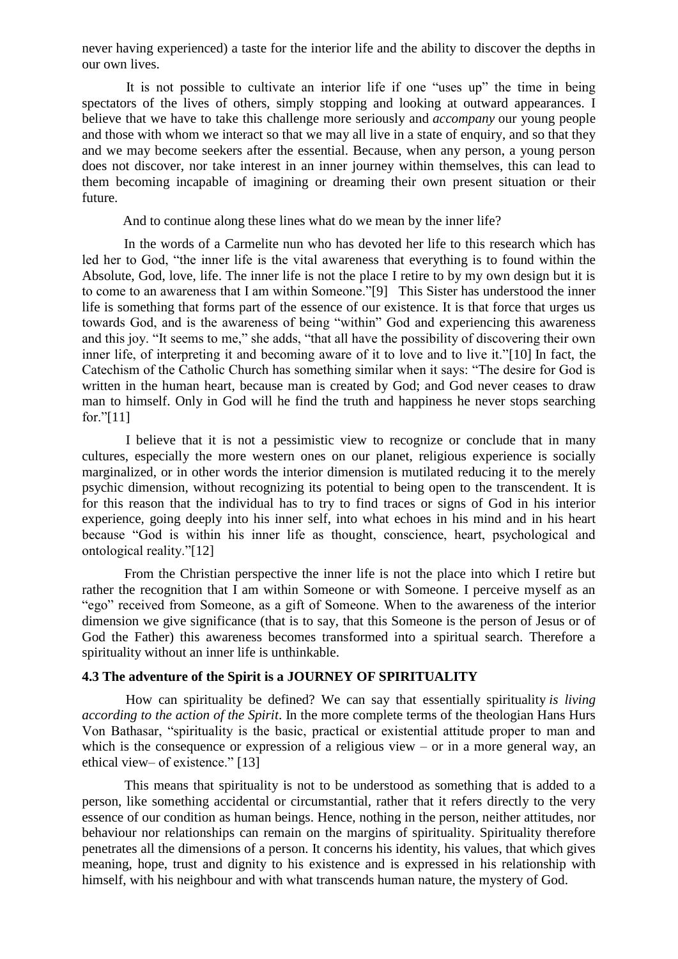never having experienced) a taste for the interior life and the ability to discover the depths in our own lives.

 It is not possible to cultivate an interior life if one "uses up" the time in being spectators of the lives of others, simply stopping and looking at outward appearances. I believe that we have to take this challenge more seriously and *accompany* our young people and those with whom we interact so that we may all live in a state of enquiry, and so that they and we may become seekers after the essential. Because, when any person, a young person does not discover, nor take interest in an inner journey within themselves, this can lead to them becoming incapable of imagining or dreaming their own present situation or their future.

And to continue along these lines what do we mean by the inner life?

 In the words of a Carmelite nun who has devoted her life to this research which has led her to God, "the inner life is the vital awareness that everything is to found within the Absolute, God, love, life. The inner life is not the place I retire to by my own design but it is to come to an awareness that I am within Someone.["\[9\]](http://www.sdb.org/en/rector-major/1058-strenna-rm-projects/3083-strenna-2016-commentary#ftn9) This Sister has understood the inner life is something that forms part of the essence of our existence. It is that force that urges us towards God, and is the awareness of being "within" God and experiencing this awareness and this joy. "It seems to me," she adds, "that all have the possibility of discovering their own inner life, of interpreting it and becoming aware of it to love and to live it.["\[10\]](http://www.sdb.org/en/rector-major/1058-strenna-rm-projects/3083-strenna-2016-commentary#ftn10) In fact, the Catechism of the Catholic Church has something similar when it says: "The desire for God is written in the human heart, because man is created by God; and God never ceases to draw man to himself. Only in God will he find the truth and happiness he never stops searching for.["\[11\]](http://www.sdb.org/en/rector-major/1058-strenna-rm-projects/3083-strenna-2016-commentary#ftn11) 

 I believe that it is not a pessimistic view to recognize or conclude that in many cultures, especially the more western ones on our planet, religious experience is socially marginalized, or in other words the interior dimension is mutilated reducing it to the merely psychic dimension, without recognizing its potential to being open to the transcendent. It is for this reason that the individual has to try to find traces or signs of God in his interior experience, going deeply into his inner self, into what echoes in his mind and in his heart because "God is within his inner life as thought, conscience, heart, psychological and ontological reality.["\[12\]](http://www.sdb.org/en/rector-major/1058-strenna-rm-projects/3083-strenna-2016-commentary#ftn12) 

 From the Christian perspective the inner life is not the place into which I retire but rather the recognition that I am within Someone or with Someone. I perceive myself as an "ego" received from Someone, as a gift of Someone. When to the awareness of the interior dimension we give significance (that is to say, that this Someone is the person of Jesus or of God the Father) this awareness becomes transformed into a spiritual search. Therefore a spirituality without an inner life is unthinkable.

# **[4.3 The adventure of the Spirit is a JOURNEY OF SPIRITUALITY](http://www.sdb.org/en/rector-major/1058-strenna-rm-projects/3083-strenna-2016-commentary#strenna_2016_00)**

 How can spirituality be defined? We can say that essentially spirituality *is living according to the action of the Spirit*. In the more complete terms of the theologian Hans Hurs Von Bathasar, "spirituality is the basic, practical or existential attitude proper to man and which is the consequence or expression of a religious view – or in a more general way, an ethical view– of existence." [\[13\]](http://www.sdb.org/en/rector-major/1058-strenna-rm-projects/3083-strenna-2016-commentary#ftn13) 

 This means that spirituality is not to be understood as something that is added to a person, like something accidental or circumstantial, rather that it refers directly to the very essence of our condition as human beings. Hence, nothing in the person, neither attitudes, nor behaviour nor relationships can remain on the margins of spirituality. Spirituality therefore penetrates all the dimensions of a person. It concerns his identity, his values, that which gives meaning, hope, trust and dignity to his existence and is expressed in his relationship with himself, with his neighbour and with what transcends human nature, the mystery of God.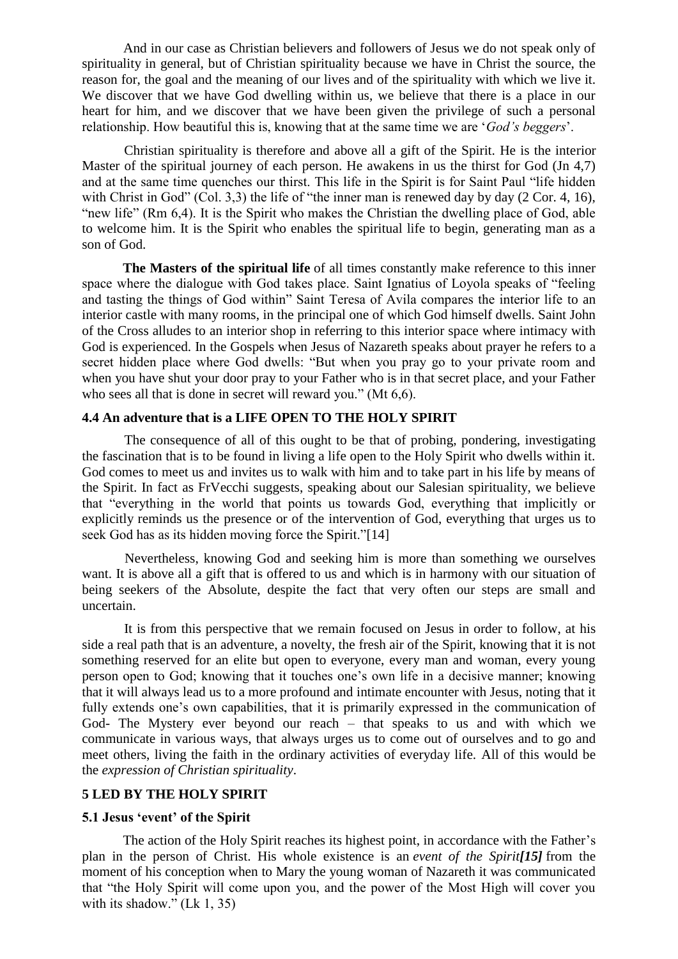And in our case as Christian believers and followers of Jesus we do not speak only of spirituality in general, but of Christian spirituality because we have in Christ the source, the reason for, the goal and the meaning of our lives and of the spirituality with which we live it. We discover that we have God dwelling within us, we believe that there is a place in our heart for him, and we discover that we have been given the privilege of such a personal relationship. How beautiful this is, knowing that at the same time we are "*God's beggers*".

 Christian spirituality is therefore and above all a gift of the Spirit. He is the interior Master of the spiritual journey of each person. He awakens in us the thirst for God (Jn 4,7) and at the same time quenches our thirst. This life in the Spirit is for Saint Paul "life hidden with Christ in God" (Col. 3,3) the life of "the inner man is renewed day by day (2 Cor. 4, 16), "new life" (Rm 6,4). It is the Spirit who makes the Christian the dwelling place of God, able to welcome him. It is the Spirit who enables the spiritual life to begin, generating man as a son of God.

 **The Masters of the spiritual life** of all times constantly make reference to this inner space where the dialogue with God takes place. Saint Ignatius of Loyola speaks of "feeling and tasting the things of God within" Saint Teresa of Avila compares the interior life to an interior castle with many rooms, in the principal one of which God himself dwells. Saint John of the Cross alludes to an interior shop in referring to this interior space where intimacy with God is experienced. In the Gospels when Jesus of Nazareth speaks about prayer he refers to a secret hidden place where God dwells: "But when you pray go to your private room and when you have shut your door pray to your Father who is in that secret place, and your Father who sees all that is done in secret will reward you." (Mt 6,6).

# **[4.4 An adventure that is a LIFE OPEN TO THE HOLY SPIRIT](http://www.sdb.org/en/rector-major/1058-strenna-rm-projects/3083-strenna-2016-commentary#strenna_2016_00)**

 The consequence of all of this ought to be that of probing, pondering, investigating the fascination that is to be found in living a life open to the Holy Spirit who dwells within it. God comes to meet us and invites us to walk with him and to take part in his life by means of the Spirit. In fact as FrVecchi suggests, speaking about our Salesian spirituality, we believe that "everything in the world that points us towards God, everything that implicitly or explicitly reminds us the presence or of the intervention of God, everything that urges us to seek God has as its hidden moving force the Spirit."[14]

 Nevertheless, knowing God and seeking him is more than something we ourselves want. It is above all a gift that is offered to us and which is in harmony with our situation of being seekers of the Absolute, despite the fact that very often our steps are small and uncertain.

 It is from this perspective that we remain focused on Jesus in order to follow, at his side a real path that is an adventure, a novelty, the fresh air of the Spirit, knowing that it is not something reserved for an elite but open to everyone, every man and woman, every young person open to God; knowing that it touches one"s own life in a decisive manner; knowing that it will always lead us to a more profound and intimate encounter with Jesus, noting that it fully extends one's own capabilities, that it is primarily expressed in the communication of God- The Mystery ever beyond our reach – that speaks to us and with which we communicate in various ways, that always urges us to come out of ourselves and to go and meet others, living the faith in the ordinary activities of everyday life. All of this would be the *expression of Christian spirituality*.

### **[5 LED BY THE HOLY SPIRIT](http://www.sdb.org/en/rector-major/1058-strenna-rm-projects/3083-strenna-2016-commentary#strenna_2016_00)**

### **[5.1 Jesus "event" of the Spirit](http://www.sdb.org/en/rector-major/1058-strenna-rm-projects/3083-strenna-2016-commentary#strenna_2016_00)**

 The action of the Holy Spirit reaches its highest point, in accordance with the Father"s plan in the person of Christ. His whole existence is an *event of the Spirit[\[15\]](http://www.sdb.org/en/rector-major/1058-strenna-rm-projects/3083-strenna-2016-commentary#ftn15)* from the moment of his conception when to Mary the young woman of Nazareth it was communicated that "the Holy Spirit will come upon you, and the power of the Most High will cover you with its shadow." (Lk 1, 35)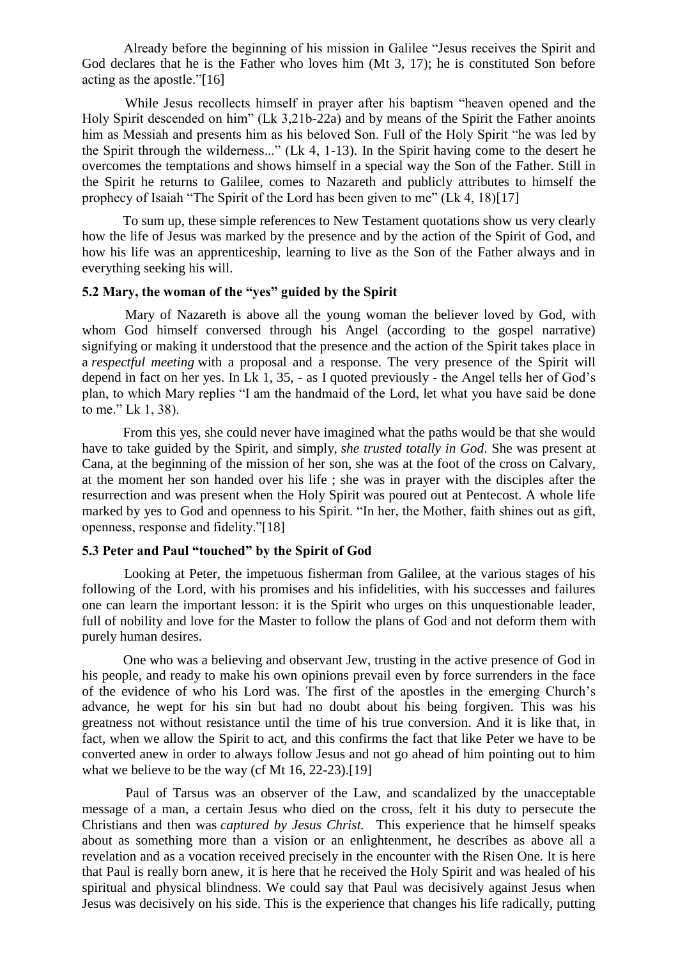Already before the beginning of his mission in Galilee "Jesus receives the Spirit and God declares that he is the Father who loves him (Mt 3, 17); he is constituted Son before acting as the apostle.["\[16\]](http://www.sdb.org/en/rector-major/1058-strenna-rm-projects/3083-strenna-2016-commentary#ftn16) 

 While Jesus recollects himself in prayer after his baptism "heaven opened and the Holy Spirit descended on him" (Lk 3,21b-22a) and by means of the Spirit the Father anoints him as Messiah and presents him as his beloved Son. Full of the Holy Spirit "he was led by the Spirit through the wilderness..." (Lk 4, 1-13). In the Spirit having come to the desert he overcomes the temptations and shows himself in a special way the Son of the Father. Still in the Spirit he returns to Galilee, comes to Nazareth and publicly attributes to himself the prophecy of Isaiah "The Spirit of the Lord has been given to me" (Lk 4, 18[\)\[17\]](http://www.sdb.org/en/rector-major/1058-strenna-rm-projects/3083-strenna-2016-commentary#ftn17) 

 To sum up, these simple references to New Testament quotations show us very clearly how the life of Jesus was marked by the presence and by the action of the Spirit of God, and how his life was an apprenticeship, learning to live as the Son of the Father always and in everything seeking his will.

#### **[5.2 Mary, the woman of the "yes" guided by the Spirit](http://www.sdb.org/en/rector-major/1058-strenna-rm-projects/3083-strenna-2016-commentary#strenna_2016_00)**

 Mary of Nazareth is above all the young woman the believer loved by God, with whom God himself conversed through his Angel (according to the gospel narrative) signifying or making it understood that the presence and the action of the Spirit takes place in a *respectful meeting* with a proposal and a response. The very presence of the Spirit will depend in fact on her yes. In Lk 1, 35, - as I quoted previously - the Angel tells her of God"s plan, to which Mary replies "I am the handmaid of the Lord, let what you have said be done to me." Lk 1, 38).

 From this yes, she could never have imagined what the paths would be that she would have to take guided by the Spirit, and simply, *she trusted totally in God*. She was present at Cana, at the beginning of the mission of her son, she was at the foot of the cross on Calvary, at the moment her son handed over his life ; she was in prayer with the disciples after the resurrection and was present when the Holy Spirit was poured out at Pentecost. A whole life marked by yes to God and openness to his Spirit. "In her, the Mother, faith shines out as gift, openness, response and fidelity.["\[18\]](http://www.sdb.org/en/rector-major/1058-strenna-rm-projects/3083-strenna-2016-commentary#ftn18) 

# **[5.3 Peter and Paul "touched" by the Spirit of God](http://www.sdb.org/en/rector-major/1058-strenna-rm-projects/3083-strenna-2016-commentary#strenna_2016_00)**

 Looking at Peter, the impetuous fisherman from Galilee, at the various stages of his following of the Lord, with his promises and his infidelities, with his successes and failures one can learn the important lesson: it is the Spirit who urges on this unquestionable leader, full of nobility and love for the Master to follow the plans of God and not deform them with purely human desires.

 One who was a believing and observant Jew, trusting in the active presence of God in his people, and ready to make his own opinions prevail even by force surrenders in the face of the evidence of who his Lord was. The first of the apostles in the emerging Church"s advance, he wept for his sin but had no doubt about his being forgiven. This was his greatness not without resistance until the time of his true conversion. And it is like that, in fact, when we allow the Spirit to act, and this confirms the fact that like Peter we have to be converted anew in order to always follow Jesus and not go ahead of him pointing out to him what we believe to be the way (cf Mt 16, 22-23).<sup>[19]</sup>

 Paul of Tarsus was an observer of the Law, and scandalized by the unacceptable message of a man, a certain Jesus who died on the cross, felt it his duty to persecute the Christians and then was *captured by Jesus Christ.* This experience that he himself speaks about as something more than a vision or an enlightenment, he describes as above all a revelation and as a vocation received precisely in the encounter with the Risen One. It is here that Paul is really born anew, it is here that he received the Holy Spirit and was healed of his spiritual and physical blindness. We could say that Paul was decisively against Jesus when Jesus was decisively on his side. This is the experience that changes his life radically, putting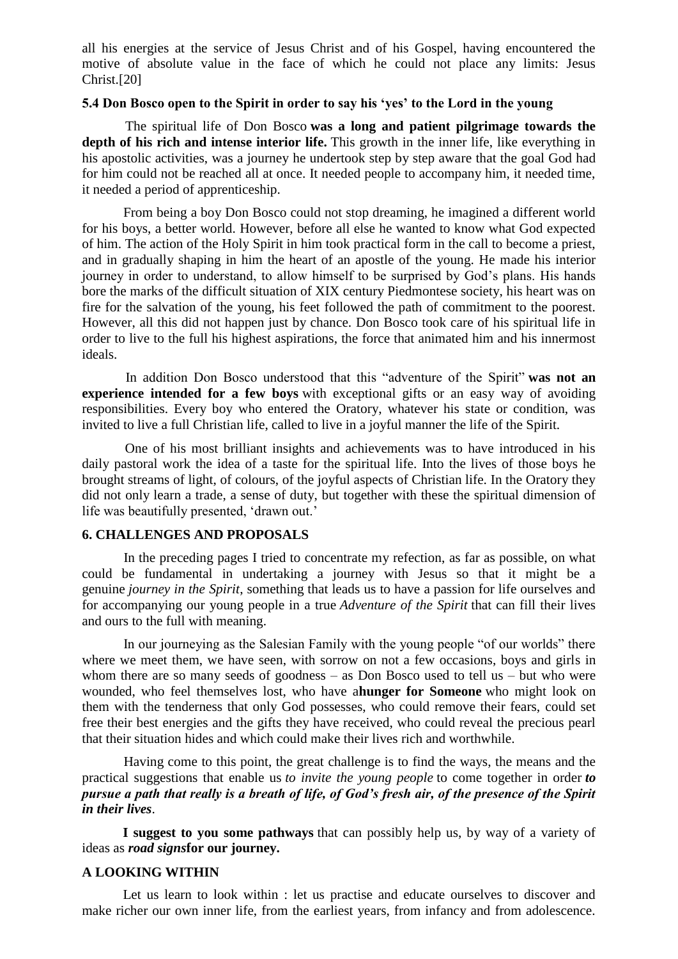all his energies at the service of Jesus Christ and of his Gospel, having encountered the motive of absolute value in the face of which he could not place any limits: Jesus Christ[.\[20\]](http://www.sdb.org/en/rector-major/1058-strenna-rm-projects/3083-strenna-2016-commentary#ftn20) 

#### **[5.4 Don Bosco open to the Spirit in order to say his "yes" to the Lord in the young](http://www.sdb.org/en/rector-major/1058-strenna-rm-projects/3083-strenna-2016-commentary#strenna_2016_00)**

 The spiritual life of Don Bosco **was a long and patient pilgrimage towards the depth of his rich and intense interior life.** This growth in the inner life, like everything in his apostolic activities, was a journey he undertook step by step aware that the goal God had for him could not be reached all at once. It needed people to accompany him, it needed time, it needed a period of apprenticeship.

 From being a boy Don Bosco could not stop dreaming, he imagined a different world for his boys, a better world. However, before all else he wanted to know what God expected of him. The action of the Holy Spirit in him took practical form in the call to become a priest, and in gradually shaping in him the heart of an apostle of the young. He made his interior journey in order to understand, to allow himself to be surprised by God"s plans. His hands bore the marks of the difficult situation of XIX century Piedmontese society, his heart was on fire for the salvation of the young, his feet followed the path of commitment to the poorest. However, all this did not happen just by chance. Don Bosco took care of his spiritual life in order to live to the full his highest aspirations, the force that animated him and his innermost ideals.

 In addition Don Bosco understood that this "adventure of the Spirit" **was not an experience intended for a few boys** with exceptional gifts or an easy way of avoiding responsibilities. Every boy who entered the Oratory, whatever his state or condition, was invited to live a full Christian life, called to live in a joyful manner the life of the Spirit.

 One of his most brilliant insights and achievements was to have introduced in his daily pastoral work the idea of a taste for the spiritual life. Into the lives of those boys he brought streams of light, of colours, of the joyful aspects of Christian life. In the Oratory they did not only learn a trade, a sense of duty, but together with these the spiritual dimension of life was beautifully presented, 'drawn out.'

# **[6. CHALLENGES AND PROPOSALS](http://www.sdb.org/en/rector-major/1058-strenna-rm-projects/3083-strenna-2016-commentary#strenna_2016_00)**

 In the preceding pages I tried to concentrate my refection, as far as possible, on what could be fundamental in undertaking a journey with Jesus so that it might be a genuine *journey in the Spirit*, something that leads us to have a passion for life ourselves and for accompanying our young people in a true *Adventure of the Spirit* that can fill their lives and ours to the full with meaning.

 In our journeying as the Salesian Family with the young people "of our worlds" there where we meet them, we have seen, with sorrow on not a few occasions, boys and girls in whom there are so many seeds of goodness – as Don Bosco used to tell us – but who were wounded, who feel themselves lost, who have a**hunger for Someone** who might look on them with the tenderness that only God possesses, who could remove their fears, could set free their best energies and the gifts they have received, who could reveal the precious pearl that their situation hides and which could make their lives rich and worthwhile.

 Having come to this point, the great challenge is to find the ways, the means and the practical suggestions that enable us *to invite the young people* to come together in order *to pursue a path that really is a breath of life, of God's fresh air, of the presence of the Spirit in their lives*.

 **I suggest to you some pathways** that can possibly help us, by way of a variety of ideas as *road signs***for our journey.**

# **[A LOOKING WITHIN](http://www.sdb.org/en/rector-major/1058-strenna-rm-projects/3083-strenna-2016-commentary#strenna_2016_00)**

Let us learn to look within : let us practise and educate ourselves to discover and make richer our own inner life, from the earliest years, from infancy and from adolescence.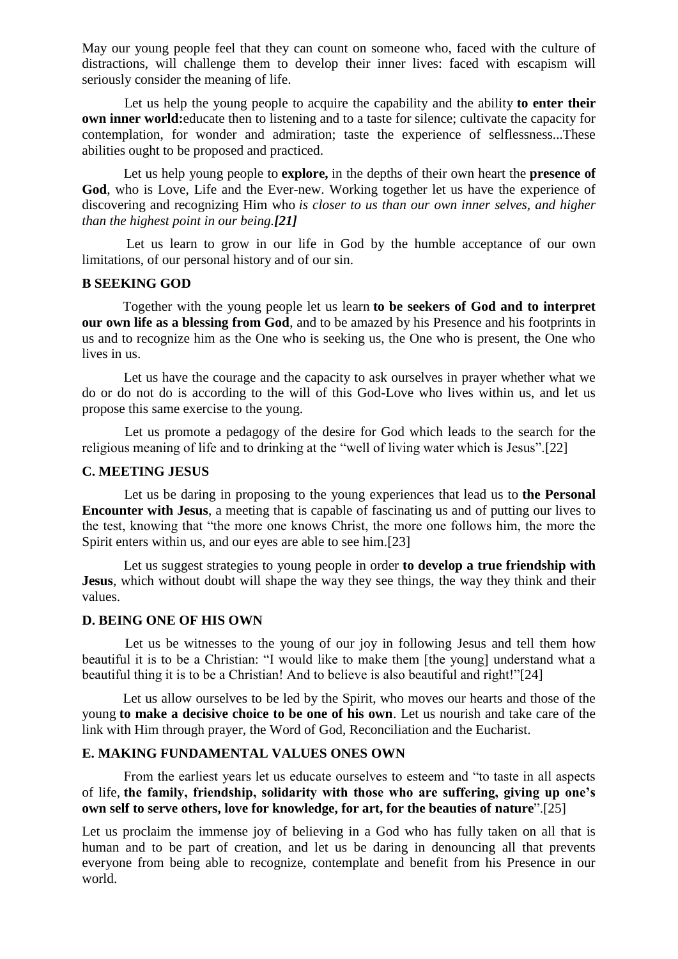May our young people feel that they can count on someone who, faced with the culture of distractions, will challenge them to develop their inner lives: faced with escapism will seriously consider the meaning of life.

 Let us help the young people to acquire the capability and the ability **to enter their own inner world:**educate then to listening and to a taste for silence; cultivate the capacity for contemplation, for wonder and admiration; taste the experience of selflessness...These abilities ought to be proposed and practiced.

 Let us help young people to **explore,** in the depths of their own heart the **presence of God**, who is Love, Life and the Ever-new. Working together let us have the experience of discovering and recognizing Him who *is closer to us than our own inner selves, and higher than the highest point in our being.[\[21\]](http://www.sdb.org/en/rector-major/1058-strenna-rm-projects/3083-strenna-2016-commentary#ftn21)*

 Let us learn to grow in our life in God by the humble acceptance of our own limitations, of our personal history and of our sin.

# **[B SEEKING GOD](http://www.sdb.org/en/rector-major/1058-strenna-rm-projects/3083-strenna-2016-commentary#strenna_2016_00)**

Together with the young people let us learn **to be seekers of God and to interpret our own life as a blessing from God**, and to be amazed by his Presence and his footprints in us and to recognize him as the One who is seeking us, the One who is present, the One who lives in us.

 Let us have the courage and the capacity to ask ourselves in prayer whether what we do or do not do is according to the will of this God-Love who lives within us, and let us propose this same exercise to the young.

 Let us promote a pedagogy of the desire for God which leads to the search for the religious meaning of life and to drinking at the "well of living water which is Jesus"[.\[22\]](http://www.sdb.org/en/rector-major/1058-strenna-rm-projects/3083-strenna-2016-commentary#ftn22) 

# **[C. MEETING JESUS](http://www.sdb.org/en/rector-major/1058-strenna-rm-projects/3083-strenna-2016-commentary#strenna_2016_00)**

 Let us be daring in proposing to the young experiences that lead us to **the Personal Encounter with Jesus**, a meeting that is capable of fascinating us and of putting our lives to the test, knowing that "the more one knows Christ, the more one follows him, the more the Spirit enters within us, and our eyes are able to see him[.\[23\]](http://www.sdb.org/en/rector-major/1058-strenna-rm-projects/3083-strenna-2016-commentary#ftn23)

 Let us suggest strategies to young people in order **to develop a true friendship with Jesus**, which without doubt will shape the way they see things, the way they think and their values.

#### **[D. BEING ONE OF HIS OWN](http://www.sdb.org/en/rector-major/1058-strenna-rm-projects/3083-strenna-2016-commentary#strenna_2016_00)**

 Let us be witnesses to the young of our joy in following Jesus and tell them how beautiful it is to be a Christian: "I would like to make them [the young] understand what a beautiful thing it is to be a Christian! And to believe is also beautiful and right!["\[24\]](http://www.sdb.org/en/rector-major/1058-strenna-rm-projects/3083-strenna-2016-commentary#ftn24)

Let us allow ourselves to be led by the Spirit, who moves our hearts and those of the young **to make a decisive choice to be one of his own**. Let us nourish and take care of the link with Him through prayer, the Word of God, Reconciliation and the Eucharist.

### **[E. MAKING FUNDAMENTAL VALUES ONES OWN](http://www.sdb.org/en/rector-major/1058-strenna-rm-projects/3083-strenna-2016-commentary#strenna_2016_00)**

 From the earliest years let us educate ourselves to esteem and "to taste in all aspects of life, **the family, friendship, solidarity with those who are suffering, giving up one"s own self to serve others, love for knowledge, for art, for the beauties of nature**"[.\[25\]](http://www.sdb.org/en/rector-major/1058-strenna-rm-projects/3083-strenna-2016-commentary#ftn25)

Let us proclaim the immense joy of believing in a God who has fully taken on all that is human and to be part of creation, and let us be daring in denouncing all that prevents everyone from being able to recognize, contemplate and benefit from his Presence in our world.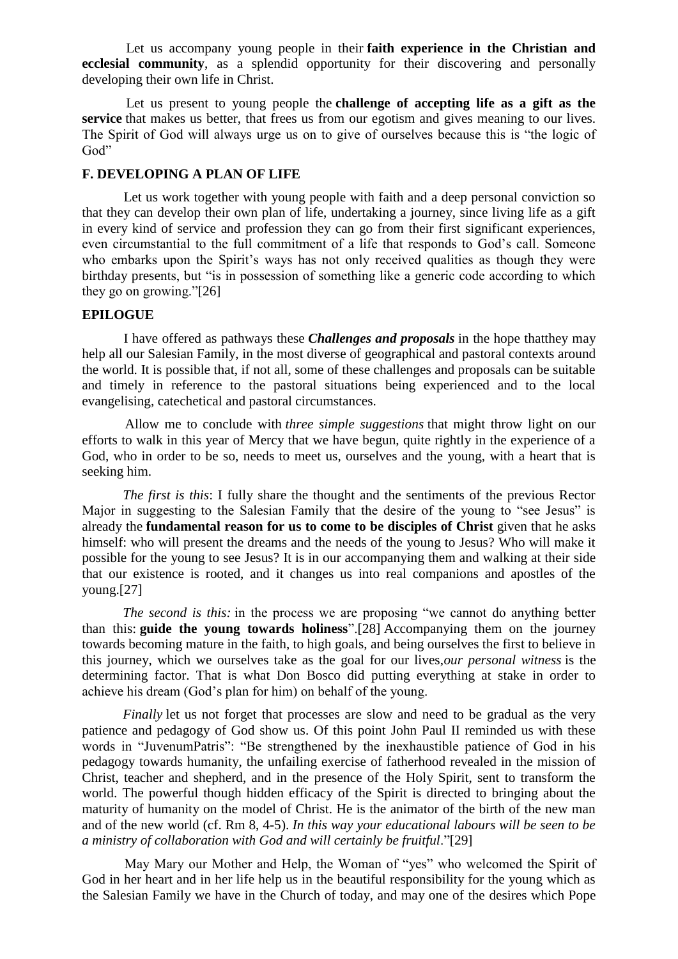Let us accompany young people in their **faith experience in the Christian and ecclesial community**, as a splendid opportunity for their discovering and personally developing their own life in Christ.

 Let us present to young people the **challenge of accepting life as a gift as the service** that makes us better, that frees us from our egotism and gives meaning to our lives. The Spirit of God will always urge us on to give of ourselves because this is "the logic of God"

### **[F. DEVELOPING A PLAN OF LIFE](http://www.sdb.org/en/rector-major/1058-strenna-rm-projects/3083-strenna-2016-commentary#strenna_2016_00)**

 Let us work together with young people with faith and a deep personal conviction so that they can develop their own plan of life, undertaking a journey, since living life as a gift in every kind of service and profession they can go from their first significant experiences, even circumstantial to the full commitment of a life that responds to God's call. Someone who embarks upon the Spirit's ways has not only received qualities as though they were birthday presents, but "is in possession of something like a generic code according to which they go on growing.["\[26\]](http://www.sdb.org/en/rector-major/1058-strenna-rm-projects/3083-strenna-2016-commentary#ftn26) 

### **[EPILOGUE](http://www.sdb.org/en/rector-major/1058-strenna-rm-projects/3083-strenna-2016-commentary#strenna_2016_00)**

 I have offered as pathways these *Challenges and proposals* in the hope thatthey may help all our Salesian Family, in the most diverse of geographical and pastoral contexts around the world. It is possible that, if not all, some of these challenges and proposals can be suitable and timely in reference to the pastoral situations being experienced and to the local evangelising, catechetical and pastoral circumstances.

 Allow me to conclude with *three simple suggestions* that might throw light on our efforts to walk in this year of Mercy that we have begun, quite rightly in the experience of a God, who in order to be so, needs to meet us, ourselves and the young, with a heart that is seeking him.

*The first is this*: I fully share the thought and the sentiments of the previous Rector Major in suggesting to the Salesian Family that the desire of the young to "see Jesus" is already the **fundamental reason for us to come to be disciples of Christ** given that he asks himself: who will present the dreams and the needs of the young to Jesus? Who will make it possible for the young to see Jesus? It is in our accompanying them and walking at their side that our existence is rooted, and it changes us into real companions and apostles of the young[.\[27\]](http://www.sdb.org/en/rector-major/1058-strenna-rm-projects/3083-strenna-2016-commentary#ftn27) 

 *The second is this:* in the process we are proposing "we cannot do anything better than this: **guide the young towards holiness**"[.\[28\]](http://www.sdb.org/en/rector-major/1058-strenna-rm-projects/3083-strenna-2016-commentary#ftn28) Accompanying them on the journey towards becoming mature in the faith, to high goals, and being ourselves the first to believe in this journey, which we ourselves take as the goal for our lives,*our personal witness* is the determining factor. That is what Don Bosco did putting everything at stake in order to achieve his dream (God"s plan for him) on behalf of the young.

*Finally* let us not forget that processes are slow and need to be gradual as the very patience and pedagogy of God show us. Of this point John Paul II reminded us with these words in "JuvenumPatris": "Be strengthened by the inexhaustible patience of God in his pedagogy towards humanity, the unfailing exercise of fatherhood revealed in the mission of Christ, teacher and shepherd, and in the presence of the Holy Spirit, sent to transform the world. The powerful though hidden efficacy of the Spirit is directed to bringing about the maturity of humanity on the model of Christ. He is the animator of the birth of the new man and of the new world (cf. Rm 8, 4-5). *In this way your educational labours will be seen to be a ministry of collaboration with God and will certainly be fruitful*.["\[29\]](http://www.sdb.org/en/rector-major/1058-strenna-rm-projects/3083-strenna-2016-commentary#ftn29)

 May Mary our Mother and Help, the Woman of "yes" who welcomed the Spirit of God in her heart and in her life help us in the beautiful responsibility for the young which as the Salesian Family we have in the Church of today, and may one of the desires which Pope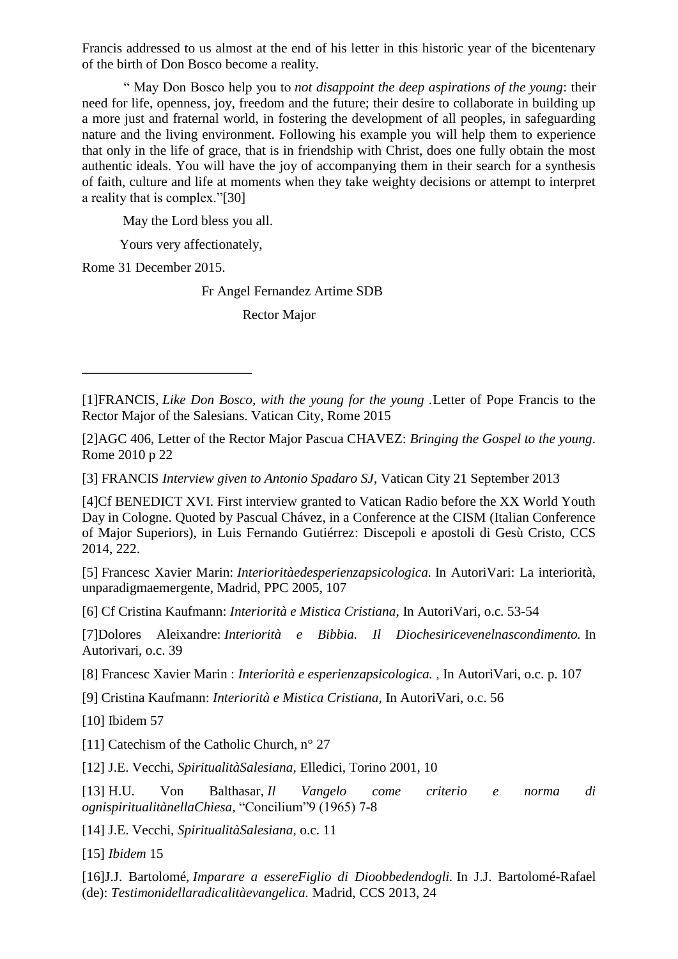Francis addressed to us almost at the end of his letter in this historic year of the bicentenary of the birth of Don Bosco become a reality.

 " May Don Bosco help you to *not disappoint the deep aspirations of the young*: their need for life, openness, joy, freedom and the future; their desire to collaborate in building up a more just and fraternal world, in fostering the development of all peoples, in safeguarding nature and the living environment. Following his example you will help them to experience that only in the life of grace, that is in friendship with Christ, does one fully obtain the most authentic ideals. You will have the joy of accompanying them in their search for a synthesis of faith, culture and life at moments when they take weighty decisions or attempt to interpret a reality that is complex.["\[30\]](http://www.sdb.org/en/rector-major/1058-strenna-rm-projects/3083-strenna-2016-commentary#ftn30) 

May the Lord bless you all.

Yours very affectionately,

Rome 31 December 2015.

Fr Angel Fernandez Artime SDB

Rector Major

[\[3\]](http://www.sdb.org/en/rector-major/1058-strenna-rm-projects/3083-strenna-2016-commentary#ftnref3) FRANCIS *Interview given to Antonio Spadaro SJ*, Vatican City 21 September 2013

[\[4\]C](http://www.sdb.org/en/rector-major/1058-strenna-rm-projects/3083-strenna-2016-commentary#ftnref4)f BENEDICT XVI. First interview granted to Vatican Radio before the XX World Youth Day in Cologne. Quoted by Pascual Chávez, in a Conference at the CISM (Italian Conference of Major Superiors), in Luis Fernando Gutiérrez: Discepoli e apostoli di Gesù Cristo, CCS 2014, 222.

[\[5\]](http://www.sdb.org/en/rector-major/1058-strenna-rm-projects/3083-strenna-2016-commentary#ftnref5) Francesc Xavier Marin: *Interioritàedesperienzapsicologica.* In AutoriVari: La interiorità, unparadigmaemergente, Madrid, PPC 2005, 107

[\[6\]](http://www.sdb.org/en/rector-major/1058-strenna-rm-projects/3083-strenna-2016-commentary#ftnref6) Cf Cristina Kaufmann: *Interiorità e Mistica Cristiana,* In AutoriVari, o.c. 53-54

[\[7\]D](http://www.sdb.org/en/rector-major/1058-strenna-rm-projects/3083-strenna-2016-commentary#ftnref7)olores Aleixandre: *Interiorità e Bibbia. Il Diochesiricevenelnascondimento.* In Autorivari, o.c. 39

[\[8\]](http://www.sdb.org/en/rector-major/1058-strenna-rm-projects/3083-strenna-2016-commentary#ftnref8) Francesc Xavier Marin : *Interiorità e esperienzapsicologica. ,* In AutoriVari, o.c. p. 107

[\[9\]](http://www.sdb.org/en/rector-major/1058-strenna-rm-projects/3083-strenna-2016-commentary#ftnref9) Cristina Kaufmann: *Interiorità e Mistica Cristiana,* In AutoriVari, o.c. 56

[\[10\]](http://www.sdb.org/en/rector-major/1058-strenna-rm-projects/3083-strenna-2016-commentary#ftnref10) Ibidem 57

[\[11\]](http://www.sdb.org/en/rector-major/1058-strenna-rm-projects/3083-strenna-2016-commentary#ftnref11) Catechism of the Catholic Church, n° 27

[\[12\]](http://www.sdb.org/en/rector-major/1058-strenna-rm-projects/3083-strenna-2016-commentary#ftnref12) J.E. Vecchi, *SpiritualitàSalesiana,* Elledici, Torino 2001, 10

[\[13\]](http://www.sdb.org/en/rector-major/1058-strenna-rm-projects/3083-strenna-2016-commentary#ftnref13) H.U. Von Balthasar, *Il Vangelo come criterio e norma di ognispiritualitànellaChiesa,* "Concilium"9 (1965) 7-8

[\[14\]](http://www.sdb.org/en/rector-major/1058-strenna-rm-projects/3083-strenna-2016-commentary#ftnref14) J.E. Vecchi, *SpiritualitàSalesiana,* o.c. 11

[\[15\]](http://www.sdb.org/en/rector-major/1058-strenna-rm-projects/3083-strenna-2016-commentary#ftnref15) *Ibidem* 15

[\[16\]J](http://www.sdb.org/en/rector-major/1058-strenna-rm-projects/3083-strenna-2016-commentary#ftnref16).J. Bartolomé, *Imparare a essereFiglio di Dioobbedendogli.* In J.J. Bartolomé-Rafael (de): *Testimonidellaradicalitàevangelica.* Madrid, CCS 2013, 24

[<sup>\[1\]</sup>F](http://www.sdb.org/en/rector-major/1058-strenna-rm-projects/3083-strenna-2016-commentary#ftnref1)RANCIS, *Like Don Bosco, with the young for the young .*Letter of Pope Francis to the Rector Major of the Salesians. Vatican City, Rome 2015

[<sup>\[2\]</sup>A](http://www.sdb.org/en/rector-major/1058-strenna-rm-projects/3083-strenna-2016-commentary#ftnref2)GC 406, Letter of the Rector Major Pascua CHAVEZ: *Bringing the Gospel to the young*. Rome 2010 p 22